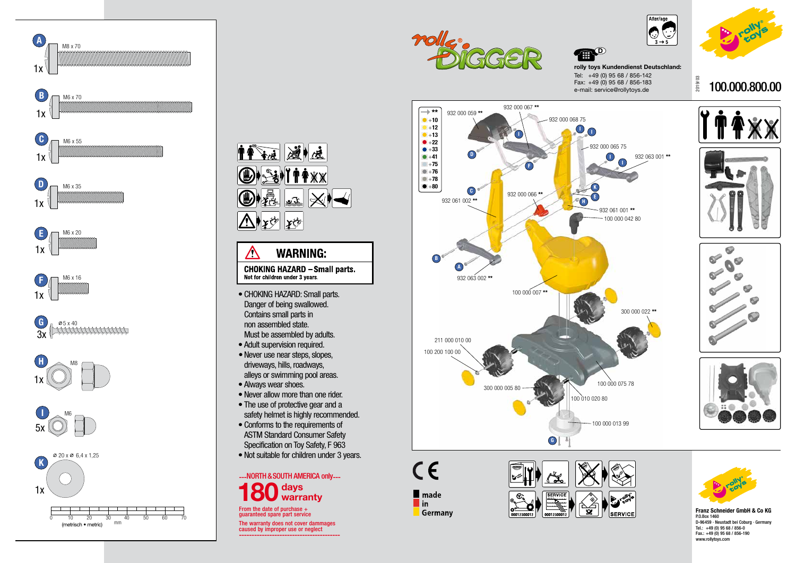2019/ 03



## 100.000.800.00



 $\bullet$ 

 $\bullet$ 

 $\bullet$ 

 $\sigma$ 



्लैं



**rolly toys Kundendienst Deutschland:** Tel: +49 (0) 95 68 / 856-142 Fax: +49 (0) 95 68 / 856-183 e-mail: service@rollytoys.de



**Franz Schneider GmbH & Co KG** P.O.Box 1460 D-96459 · Neustadt bei Coburg · Germany Tel.: +49 (0) 95 68 / 856-0 Fax.: +49 (0) 95 68 / 856-190 www.rollytoys.com

From the date of purchase  $+$ guaranteed spare part service

The warranty does not cover dammages caused by improper use or neglect ----------------------------------------



 $C \in$ 

 $\blacksquare$  made

Germany

 $\blacksquare$ in

**B** 







**SERVICI** 

 $| 00012300012$ 

00012300012